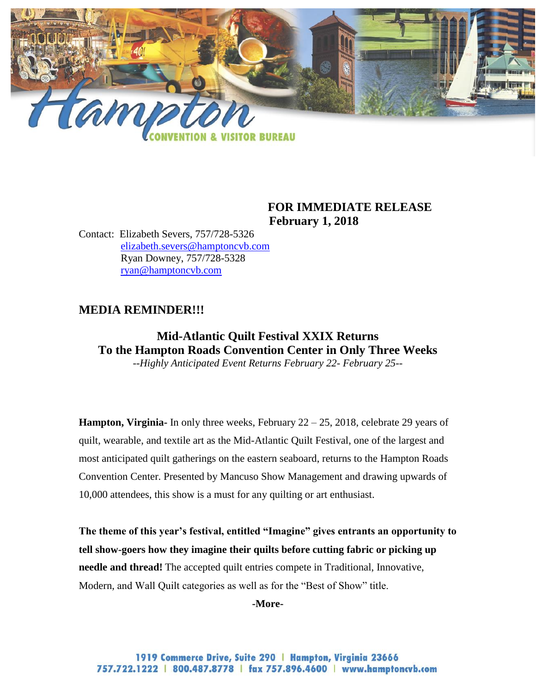

### **FOR IMMEDIATE RELEASE February 1, 2018**

Contact: Elizabeth Severs, 757/728-5326 [elizabeth.severs@hamptoncvb.com](mailto:elizabeth.severs@hamptoncvb.com) Ryan Downey, 757/728-5328 [ryan@hamptoncvb.com](mailto:ryan@hamptoncvb.com)

## **MEDIA REMINDER!!!**

# **Mid-Atlantic Quilt Festival XXIX Returns To the Hampton Roads Convention Center in Only Three Weeks**

*--Highly Anticipated Event Returns February 22- February 25--*

**Hampton, Virginia-** In only three weeks, February 22 – 25, 2018, celebrate 29 years of quilt, wearable, and textile art as the Mid-Atlantic Quilt Festival, one of the largest and most anticipated quilt gatherings on the eastern seaboard, returns to the Hampton Roads Convention Center. Presented by Mancuso Show Management and drawing upwards of 10,000 attendees, this show is a must for any quilting or art enthusiast.

**The theme of this year's festival, entitled "Imagine" gives entrants an opportunity to tell show-goers how they imagine their quilts before cutting fabric or picking up needle and thread!** The accepted quilt entries compete in Traditional, Innovative, Modern, and Wall Quilt categories as well as for the "Best of Show" title.

**-More-**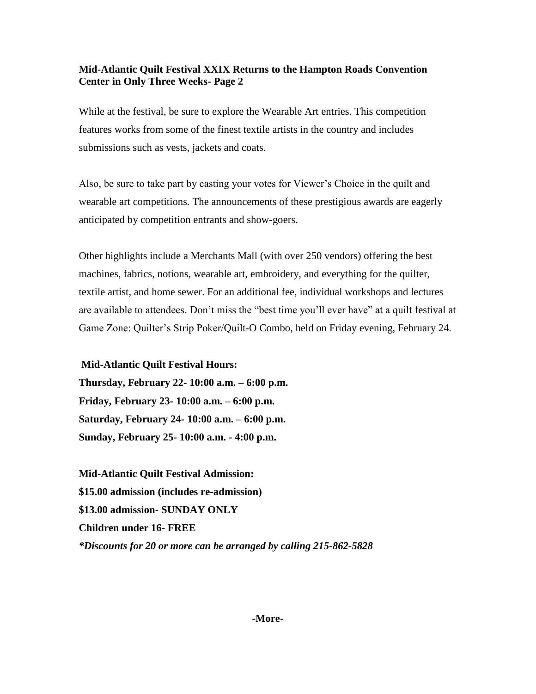#### **Mid-Atlantic Quilt Festival XXIX Returns to the Hampton Roads Convention Center in Only Three Weeks- Page 2**

While at the festival, be sure to explore the Wearable Art entries. This competition features works from some of the finest textile artists in the country and includes submissions such as vests, jackets and coats.

Also, be sure to take part by casting your votes for Viewer's Choice in the quilt and wearable art competitions. The announcements of these prestigious awards are eagerly anticipated by competition entrants and show-goers.

Other highlights include a Merchants Mall (with over 250 vendors) offering the best machines, fabrics, notions, wearable art, embroidery, and everything for the quilter, textile artist, and home sewer. For an additional fee, individual workshops and lectures are available to attendees. Don't miss the "best time you'll ever have" at a quilt festival at Game Zone: Quilter's Strip Poker/Quilt-O Combo, held on Friday evening, February 24.

**Mid-Atlantic Quilt Festival Hours:**

**Thursday, February 22- 10:00 a.m. – 6:00 p.m. Friday, February 23- 10:00 a.m. – 6:00 p.m. Saturday, February 24- 10:00 a.m. – 6:00 p.m. Sunday, February 25- 10:00 a.m. - 4:00 p.m.**

**Mid-Atlantic Quilt Festival Admission: \$15.00 admission (includes re-admission) \$13.00 admission- SUNDAY ONLY Children under 16- FREE** *\*Discounts for 20 or more can be arranged by calling 215-862-5828*